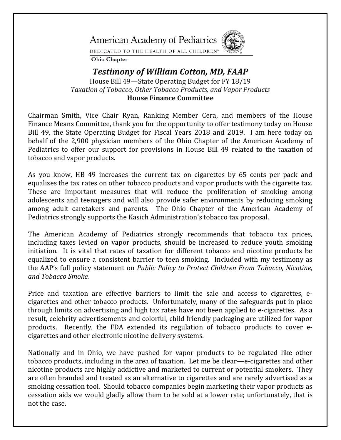**American Academy of Pediatrics** 



DEDICATED TO THE HEALTH OF ALL CHILDREN<sup>®</sup>

**Ohio Chapter** 

## *Testimony of William Cotton, MD, FAAP* House Bill 49—State Operating Budget for FY 18/19 *Taxation of Tobacco, Other Tobacco Products, and Vapor Products*  **House Finance Committee**

Chairman Smith, Vice Chair Ryan, Ranking Member Cera, and members of the House Finance Means Committee, thank you for the opportunity to offer testimony today on House Bill 49, the State Operating Budget for Fiscal Years 2018 and 2019. I am here today on behalf of the 2,900 physician members of the Ohio Chapter of the American Academy of Pediatrics to offer our support for provisions in House Bill 49 related to the taxation of tobacco and vapor products.

As you know, HB 49 increases the current tax on cigarettes by 65 cents per pack and equalizes the tax rates on other tobacco products and vapor products with the cigarette tax. These are important measures that will reduce the proliferation of smoking among adolescents and teenagers and will also provide safer environments by reducing smoking among adult caretakers and parents. The Ohio Chapter of the American Academy of Pediatrics strongly supports the Kasich Administration's tobacco tax proposal.

The American Academy of Pediatrics strongly recommends that tobacco tax prices, including taxes levied on vapor products, should be increased to reduce youth smoking initiation. It is vital that rates of taxation for different tobacco and nicotine products be equalized to ensure a consistent barrier to teen smoking. Included with my testimony as the AAP's full policy statement on *Public Policy to Protect Children From Tobacco, Nicotine, and Tobacco Smoke.*

Price and taxation are effective barriers to limit the sale and access to cigarettes, ecigarettes and other tobacco products. Unfortunately, many of the safeguards put in place through limits on advertising and high tax rates have not been applied to e-cigarettes. As a result, celebrity advertisements and colorful, child friendly packaging are utilized for vapor products. Recently, the FDA extended its regulation of tobacco products to cover ecigarettes and other electronic nicotine delivery systems.

Nationally and in Ohio, we have pushed for vapor products to be regulated like other tobacco products, including in the area of taxation. Let me be clear—e-cigarettes and other nicotine products are highly addictive and marketed to current or potential smokers. They are often branded and treated as an alternative to cigarettes and are rarely advertised as a smoking cessation tool. Should tobacco companies begin marketing their vapor products as cessation aids we would gladly allow them to be sold at a lower rate; unfortunately, that is not the case.